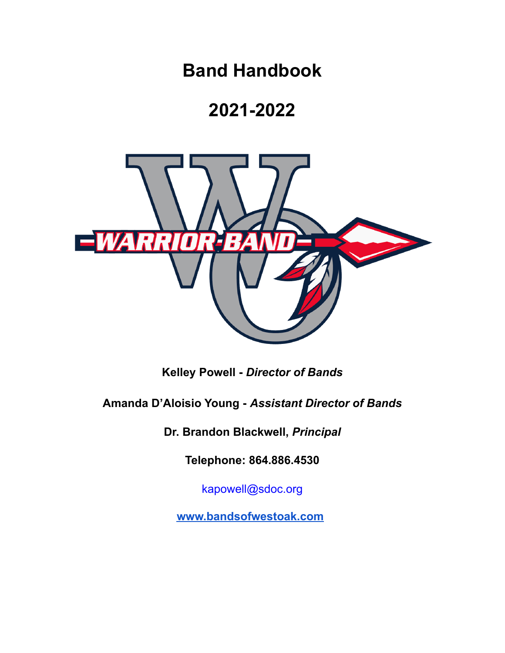**Band Handbook**

# **2021-2022**



**Kelley Powell -** *Director of Bands*

**Amanda D'Aloisio Young -** *Assistant Director of Bands*

**Dr. Brandon Blackwell,** *Principal*

**Telephone: 864.886.4530**

kapowell@sdoc.org

**[www.bandsofwestoak.com](http://www.bandsofwestoak.com)**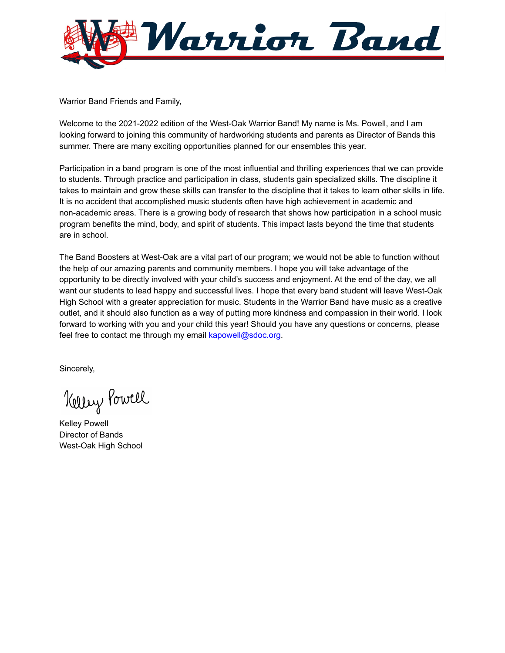

Warrior Band Friends and Family,

Welcome to the 2021-2022 edition of the West-Oak Warrior Band! My name is Ms. Powell, and I am looking forward to joining this community of hardworking students and parents as Director of Bands this summer. There are many exciting opportunities planned for our ensembles this year.

Participation in a band program is one of the most influential and thrilling experiences that we can provide to students. Through practice and participation in class, students gain specialized skills. The discipline it takes to maintain and grow these skills can transfer to the discipline that it takes to learn other skills in life. It is no accident that accomplished music students often have high achievement in academic and non-academic areas. There is a growing body of research that shows how participation in a school music program benefits the mind, body, and spirit of students. This impact lasts beyond the time that students are in school.

The Band Boosters at West-Oak are a vital part of our program; we would not be able to function without the help of our amazing parents and community members. I hope you will take advantage of the opportunity to be directly involved with your child's success and enjoyment. At the end of the day, we all want our students to lead happy and successful lives. I hope that every band student will leave West-Oak High School with a greater appreciation for music. Students in the Warrior Band have music as a creative outlet, and it should also function as a way of putting more kindness and compassion in their world. I look forward to working with you and your child this year! Should you have any questions or concerns, please feel free to contact me through my email kapowell@sdoc.org.

Sincerely,

Kelley Powell

Kelley Powell Director of Bands West-Oak High School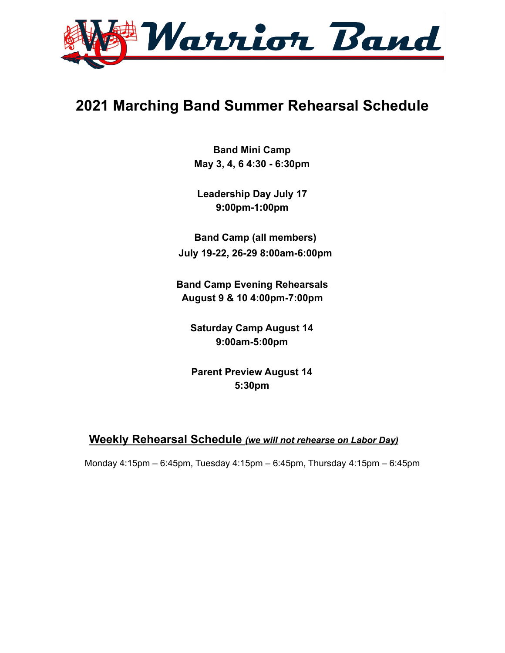

## **2021 Marching Band Summer Rehearsal Schedule**

**Band Mini Camp May 3, 4, 6 4:30 - 6:30pm**

**Leadership Day July 17 9:00pm-1:00pm**

**Band Camp (all members) July 19-22, 26-29 8:00am-6:00pm**

**Band Camp Evening Rehearsals August 9 & 10 4:00pm-7:00pm**

**Saturday Camp August 14 9:00am-5:00pm**

**Parent Preview August 14 5:30pm**

#### **Weekly Rehearsal Schedule** *(we will not rehearse on Labor Day)*

Monday 4:15pm – 6:45pm, Tuesday 4:15pm – 6:45pm, Thursday 4:15pm – 6:45pm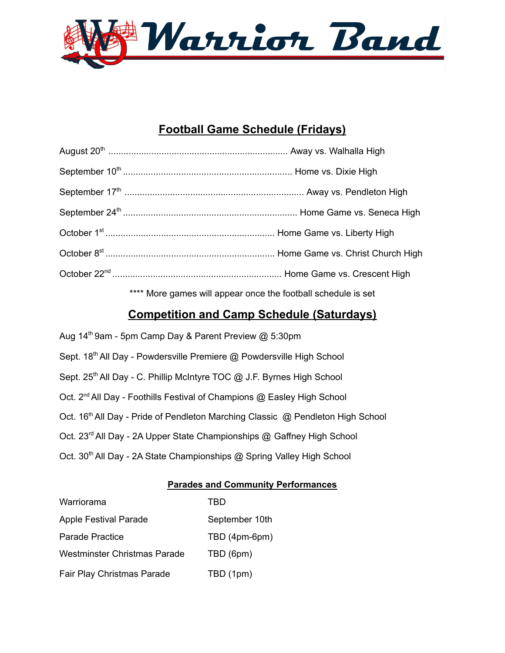

## **Football Game Schedule (Fridays)**

| **** More games will appear once the football schedule is set |
|---------------------------------------------------------------|

## **Competition and Camp Schedule (Saturdays)**

| Aug 14 <sup>th</sup> 9am - 5pm Camp Day & Parent Preview @ 5:30pm                           |
|---------------------------------------------------------------------------------------------|
| Sept. 18th All Day - Powdersville Premiere @ Powdersville High School                       |
| Sept. 25 <sup>th</sup> All Day - C. Phillip McIntyre TOC @ J.F. Byrnes High School          |
| Oct. 2 <sup>nd</sup> All Day - Foothills Festival of Champions @ Easley High School         |
| Oct. 16 <sup>th</sup> All Day - Pride of Pendleton Marching Classic @ Pendleton High School |
| Oct. 23 <sup>rd</sup> All Day - 2A Upper State Championships @ Gaffney High School          |
| Oct. 30 <sup>th</sup> All Day - 2A State Championships @ Spring Valley High School          |

#### **Parades and Community Performances**

| Warriorama                   | TRD            |
|------------------------------|----------------|
| <b>Apple Festival Parade</b> | September 10th |
| Parade Practice              | TBD (4pm-6pm)  |
| Westminster Christmas Parade | TBD (6pm)      |
| Fair Play Christmas Parade   | TBD (1pm)      |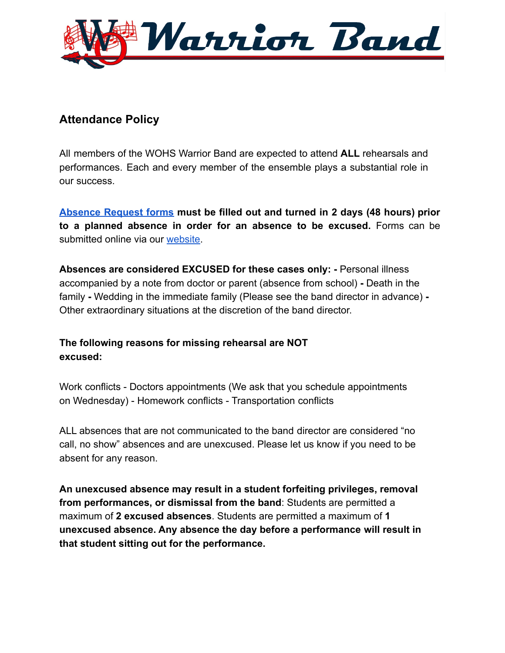

## **Attendance Policy**

All members of the WOHS Warrior Band are expected to attend **ALL** rehearsals and performances. Each and every member of the ensemble plays a substantial role in our success.

**[Absence](https://docs.google.com/forms/d/e/1FAIpQLSfDCaN8nUKEl5bZiQ9RqZE5nfWtr-BZNSTA1Wtr-T0WXXL8gg/viewform) Request forms must be filled out and turned in 2 days (48 hours) prior to a planned absence in order for an absence to be excused.** Forms can be submitted online via our [website.](http://bandsofwestoak.com)

**Absences are considered EXCUSED for these cases only: -** Personal illness accompanied by a note from doctor or parent (absence from school) **-** Death in the family **-** Wedding in the immediate family (Please see the band director in advance) **-** Other extraordinary situations at the discretion of the band director.

#### **The following reasons for missing rehearsal are NOT excused:**

Work conflicts - Doctors appointments (We ask that you schedule appointments on Wednesday) - Homework conflicts - Transportation conflicts

ALL absences that are not communicated to the band director are considered "no call, no show" absences and are unexcused. Please let us know if you need to be absent for any reason.

**An unexcused absence may result in a student forfeiting privileges, removal from performances, or dismissal from the band**: Students are permitted a maximum of **2 excused absences**. Students are permitted a maximum of **1 unexcused absence. Any absence the day before a performance will result in that student sitting out for the performance.**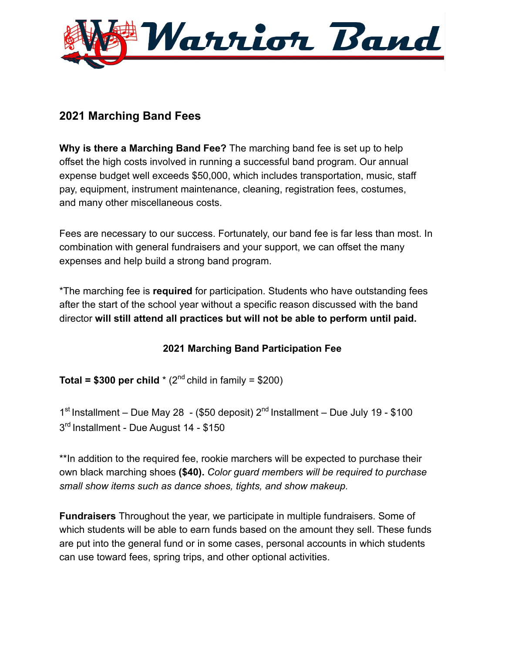

## **2021 Marching Band Fees**

**Why is there a Marching Band Fee?** The marching band fee is set up to help offset the high costs involved in running a successful band program. Our annual expense budget well exceeds \$50,000, which includes transportation, music, staff pay, equipment, instrument maintenance, cleaning, registration fees, costumes, and many other miscellaneous costs.

Fees are necessary to our success. Fortunately, our band fee is far less than most. In combination with general fundraisers and your support, we can offset the many expenses and help build a strong band program.

\*The marching fee is **required** for participation. Students who have outstanding fees after the start of the school year without a specific reason discussed with the band director **will still attend all practices but will not be able to perform until paid.**

### **2021 Marching Band Participation Fee**

**Total = \$300 per child**  $*(2^{nd}$  child in family = \$200)

 $1<sup>st</sup>$  Installment – Due May 28 - (\$50 deposit)  $2<sup>nd</sup>$  Installment – Due July 19 - \$100 3<sup>rd</sup> Installment - Due August 14 - \$150

\*\*In addition to the required fee, rookie marchers will be expected to purchase their own black marching shoes **(\$40).** *Color guard members will be required to purchase small show items such as dance shoes, tights, and show makeup.*

**Fundraisers** Throughout the year, we participate in multiple fundraisers. Some of which students will be able to earn funds based on the amount they sell. These funds are put into the general fund or in some cases, personal accounts in which students can use toward fees, spring trips, and other optional activities.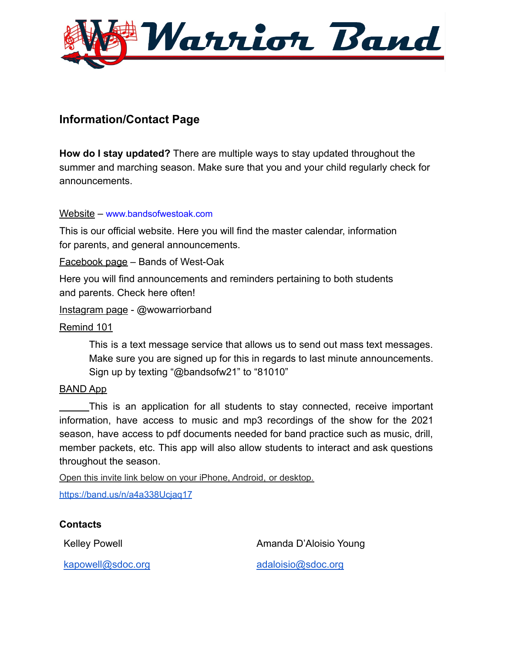

## **Information/Contact Page**

**How do I stay updated?** There are multiple ways to stay updated throughout the summer and marching season. Make sure that you and your child regularly check for announcements.

Website – www.bandsofwestoak.com

This is our official website. Here you will find the master calendar, information for parents, and general announcements.

Facebook page – Bands of West-Oak

Here you will find announcements and reminders pertaining to both students and parents. Check here often!

Instagram page - @wowarriorband

#### Remind 101

This is a text message service that allows us to send out mass text messages. Make sure you are signed up for this in regards to last minute announcements. Sign up by texting "@bandsofw21" to "81010"

#### BAND App

This is an application for all students to stay connected, receive important information, have access to music and mp3 recordings of the show for the 2021 season, have access to pdf documents needed for band practice such as music, drill, member packets, etc. This app will also allow students to interact and ask questions throughout the season.

Open this invite link below on your iPhone, Android, or desktop.

<https://band.us/n/a4a338Ucjaq17>

#### **Contacts**

Kelley Powell **Amanda D'Aloisio Young** 

[kapowell@sdoc.org](mailto:kapowell@sdoc.org) [adaloisio@sdoc.org](mailto:adaloisio@sdoc.org)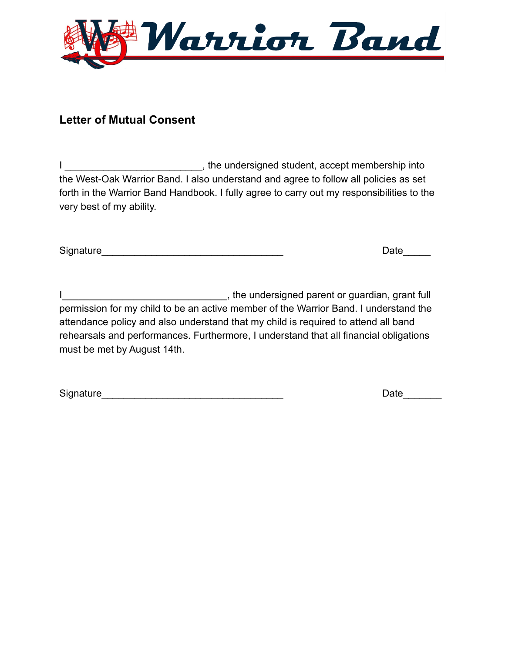

## **Letter of Mutual Consent**

I contract the undersigned student, accept membership into the West-Oak Warrior Band. I also understand and agree to follow all policies as set forth in the Warrior Band Handbook. I fully agree to carry out my responsibilities to the very best of my ability.

Signature\_\_\_\_\_\_\_\_\_\_\_\_\_\_\_\_\_\_\_\_\_\_\_\_\_\_\_\_\_\_\_\_\_ Date\_\_\_\_\_

I\_\_\_\_\_\_\_\_\_\_\_\_\_\_\_\_\_\_\_\_\_\_\_\_\_\_\_\_\_\_, the undersigned parent or guardian, grant full permission for my child to be an active member of the Warrior Band. I understand the attendance policy and also understand that my child is required to attend all band rehearsals and performances. Furthermore, I understand that all financial obligations must be met by August 14th.

Signature\_\_\_\_\_\_\_\_\_\_\_\_\_\_\_\_\_\_\_\_\_\_\_\_\_\_\_\_\_\_\_\_\_ Date\_\_\_\_\_\_\_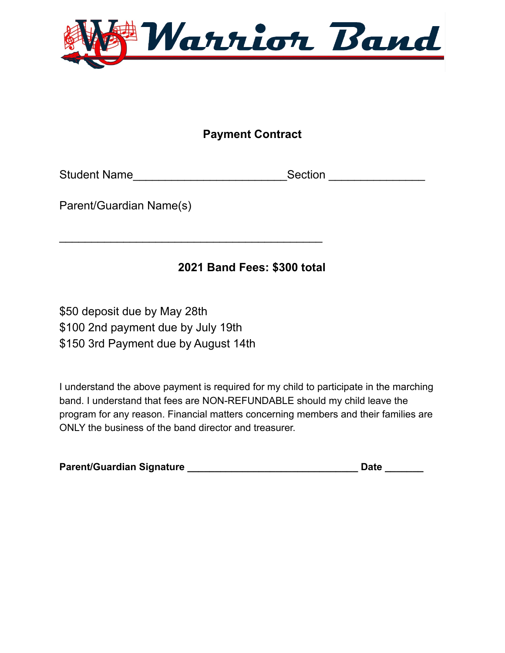

## **Payment Contract**

Student Name\_\_\_\_\_\_\_\_\_\_\_\_\_\_\_\_\_\_\_\_\_\_\_\_\_\_\_\_\_\_\_\_Section \_\_\_\_\_\_\_\_\_\_\_\_\_\_\_\_\_\_\_\_\_\_\_\_\_\_\_\_

Parent/Guardian Name(s)

## **2021 Band Fees: \$300 total**

\$50 deposit due by May 28th \$100 2nd payment due by July 19th \$150 3rd Payment due by August 14th

 $\overline{\phantom{a}}$  , and the contract of the contract of the contract of the contract of the contract of the contract of the contract of the contract of the contract of the contract of the contract of the contract of the contrac

I understand the above payment is required for my child to participate in the marching band. I understand that fees are NON-REFUNDABLE should my child leave the program for any reason. Financial matters concerning members and their families are ONLY the business of the band director and treasurer.

| <b>Parent/Guardian Signature</b> |  | Date |
|----------------------------------|--|------|
|----------------------------------|--|------|